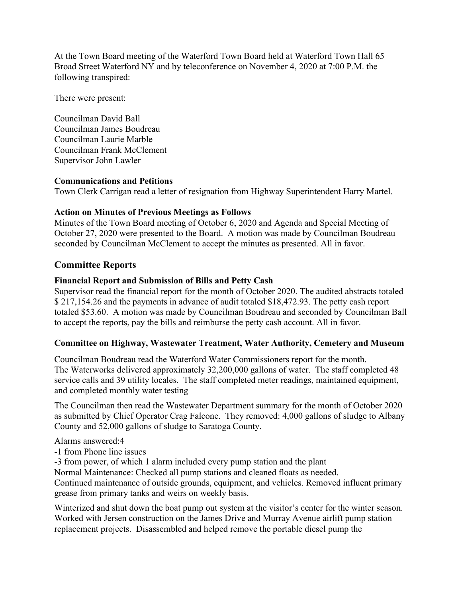At the Town Board meeting of the Waterford Town Board held at Waterford Town Hall 65 Broad Street Waterford NY and by teleconference on November 4, 2020 at 7:00 P.M. the following transpired:

There were present:

Councilman David Ball Councilman James Boudreau Councilman Laurie Marble Councilman Frank McClement Supervisor John Lawler

## Communications and Petitions

Town Clerk Carrigan read a letter of resignation from Highway Superintendent Harry Martel.

# Action on Minutes of Previous Meetings as Follows

Minutes of the Town Board meeting of October 6, 2020 and Agenda and Special Meeting of October 27, 2020 were presented to the Board. A motion was made by Councilman Boudreau seconded by Councilman McClement to accept the minutes as presented. All in favor.

# Committee Reports

# Financial Report and Submission of Bills and Petty Cash

Supervisor read the financial report for the month of October 2020. The audited abstracts totaled \$ 217,154.26 and the payments in advance of audit totaled \$18,472.93. The petty cash report totaled \$53.60. A motion was made by Councilman Boudreau and seconded by Councilman Ball to accept the reports, pay the bills and reimburse the petty cash account. All in favor.

# Committee on Highway, Wastewater Treatment, Water Authority, Cemetery and Museum

Councilman Boudreau read the Waterford Water Commissioners report for the month. The Waterworks delivered approximately 32,200,000 gallons of water. The staff completed 48 service calls and 39 utility locales. The staff completed meter readings, maintained equipment, and completed monthly water testing

The Councilman then read the Wastewater Department summary for the month of October 2020 as submitted by Chief Operator Crag Falcone. They removed: 4,000 gallons of sludge to Albany County and 52,000 gallons of sludge to Saratoga County.

Alarms answered:4

- -1 from Phone line issues
- -3 from power, of which 1 alarm included every pump station and the plant

Normal Maintenance: Checked all pump stations and cleaned floats as needed.

Continued maintenance of outside grounds, equipment, and vehicles. Removed influent primary grease from primary tanks and weirs on weekly basis.

Winterized and shut down the boat pump out system at the visitor's center for the winter season. Worked with Jersen construction on the James Drive and Murray Avenue airlift pump station replacement projects. Disassembled and helped remove the portable diesel pump the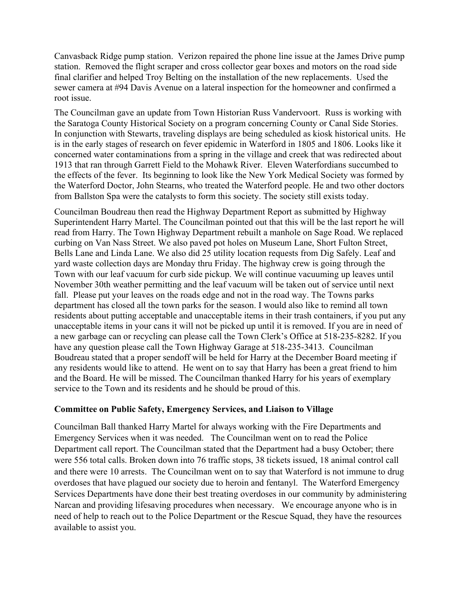Canvasback Ridge pump station. Verizon repaired the phone line issue at the James Drive pump station. Removed the flight scraper and cross collector gear boxes and motors on the road side final clarifier and helped Troy Belting on the installation of the new replacements. Used the sewer camera at #94 Davis Avenue on a lateral inspection for the homeowner and confirmed a root issue.

The Councilman gave an update from Town Historian Russ Vandervoort. Russ is working with the Saratoga County Historical Society on a program concerning County or Canal Side Stories. In conjunction with Stewarts, traveling displays are being scheduled as kiosk historical units. He is in the early stages of research on fever epidemic in Waterford in 1805 and 1806. Looks like it concerned water contaminations from a spring in the village and creek that was redirected about 1913 that ran through Garrett Field to the Mohawk River. Eleven Waterfordians succumbed to the effects of the fever. Its beginning to look like the New York Medical Society was formed by the Waterford Doctor, John Stearns, who treated the Waterford people. He and two other doctors from Ballston Spa were the catalysts to form this society. The society still exists today.

Councilman Boudreau then read the Highway Department Report as submitted by Highway Superintendent Harry Martel. The Councilman pointed out that this will be the last report he will read from Harry. The Town Highway Department rebuilt a manhole on Sage Road. We replaced curbing on Van Nass Street. We also paved pot holes on Museum Lane, Short Fulton Street, Bells Lane and Linda Lane. We also did 25 utility location requests from Dig Safely. Leaf and yard waste collection days are Monday thru Friday. The highway crew is going through the Town with our leaf vacuum for curb side pickup. We will continue vacuuming up leaves until November 30th weather permitting and the leaf vacuum will be taken out of service until next fall. Please put your leaves on the roads edge and not in the road way. The Towns parks department has closed all the town parks for the season. I would also like to remind all town residents about putting acceptable and unacceptable items in their trash containers, if you put any unacceptable items in your cans it will not be picked up until it is removed. If you are in need of a new garbage can or recycling can please call the Town Clerk's Office at 518-235-8282. If you have any question please call the Town Highway Garage at 518-235-3413. Councilman Boudreau stated that a proper sendoff will be held for Harry at the December Board meeting if any residents would like to attend. He went on to say that Harry has been a great friend to him and the Board. He will be missed. The Councilman thanked Harry for his years of exemplary service to the Town and its residents and he should be proud of this.

## Committee on Public Safety, Emergency Services, and Liaison to Village

Councilman Ball thanked Harry Martel for always working with the Fire Departments and Emergency Services when it was needed. The Councilman went on to read the Police Department call report. The Councilman stated that the Department had a busy October; there were 556 total calls. Broken down into 76 traffic stops, 38 tickets issued, 18 animal control call and there were 10 arrests. The Councilman went on to say that Waterford is not immune to drug overdoses that have plagued our society due to heroin and fentanyl. The Waterford Emergency Services Departments have done their best treating overdoses in our community by administering Narcan and providing lifesaving procedures when necessary. We encourage anyone who is in need of help to reach out to the Police Department or the Rescue Squad, they have the resources available to assist you.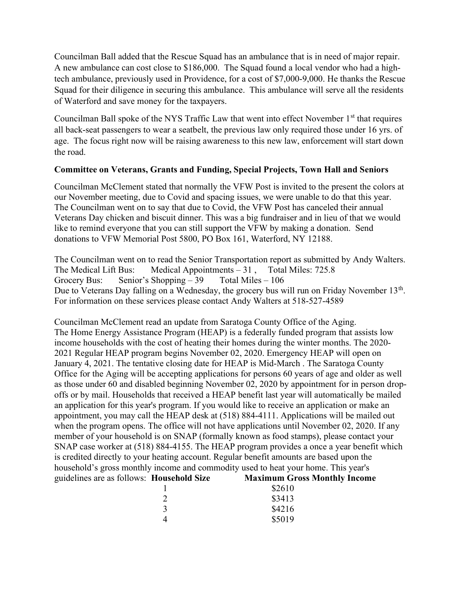Councilman Ball added that the Rescue Squad has an ambulance that is in need of major repair. A new ambulance can cost close to \$186,000. The Squad found a local vendor who had a hightech ambulance, previously used in Providence, for a cost of \$7,000-9,000. He thanks the Rescue Squad for their diligence in securing this ambulance. This ambulance will serve all the residents of Waterford and save money for the taxpayers.

Councilman Ball spoke of the NYS Traffic Law that went into effect November 1<sup>st</sup> that requires all back-seat passengers to wear a seatbelt, the previous law only required those under 16 yrs. of age. The focus right now will be raising awareness to this new law, enforcement will start down the road.

# Committee on Veterans, Grants and Funding, Special Projects, Town Hall and Seniors

Councilman McClement stated that normally the VFW Post is invited to the present the colors at our November meeting, due to Covid and spacing issues, we were unable to do that this year. The Councilman went on to say that due to Covid, the VFW Post has canceled their annual Veterans Day chicken and biscuit dinner. This was a big fundraiser and in lieu of that we would like to remind everyone that you can still support the VFW by making a donation. Send donations to VFW Memorial Post 5800, PO Box 161, Waterford, NY 12188.

The Councilman went on to read the Senior Transportation report as submitted by Andy Walters. The Medical Lift Bus: Medical Appointments  $-31$ , Total Miles: 725.8 Grocery Bus: Senior's Shopping – 39 Total Miles – 106 Due to Veterans Day falling on a Wednesday, the grocery bus will run on Friday November  $13<sup>th</sup>$ . For information on these services please contact Andy Walters at 518-527-4589

Councilman McClement read an update from Saratoga County Office of the Aging. The Home Energy Assistance Program (HEAP) is a federally funded program that assists low income households with the cost of heating their homes during the winter months. The 2020- 2021 Regular HEAP program begins November 02, 2020. Emergency HEAP will open on January 4, 2021. The tentative closing date for HEAP is Mid-March . The Saratoga County Office for the Aging will be accepting applications for persons 60 years of age and older as well as those under 60 and disabled beginning November 02, 2020 by appointment for in person dropoffs or by mail. Households that received a HEAP benefit last year will automatically be mailed an application for this year's program. If you would like to receive an application or make an appointment, you may call the HEAP desk at (518) 884-4111. Applications will be mailed out when the program opens. The office will not have applications until November 02, 2020. If any member of your household is on SNAP (formally known as food stamps), please contact your SNAP case worker at (518) 884-4155. The HEAP program provides a once a year benefit which is credited directly to your heating account. Regular benefit amounts are based upon the household's gross monthly income and commodity used to heat your home. This year's guidelines are as follows: Household Size Maximum Gross Monthly Income

|   | \$2610 |
|---|--------|
| 2 | \$3413 |
| 3 | \$4216 |
|   | \$5019 |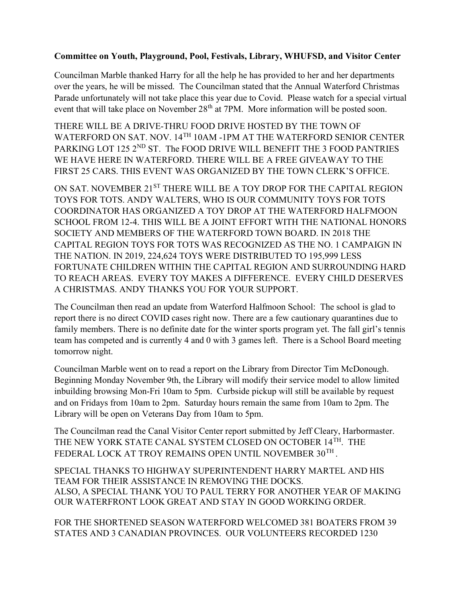# Committee on Youth, Playground, Pool, Festivals, Library, WHUFSD, and Visitor Center

Councilman Marble thanked Harry for all the help he has provided to her and her departments over the years, he will be missed. The Councilman stated that the Annual Waterford Christmas Parade unfortunately will not take place this year due to Covid. Please watch for a special virtual event that will take place on November 28<sup>th</sup> at 7PM. More information will be posted soon.

THERE WILL BE A DRIVE-THRU FOOD DRIVE HOSTED BY THE TOWN OF WATERFORD ON SAT. NOV. 14TH 10AM -1PM AT THE WATERFORD SENIOR CENTER PARKING LOT 125 2<sup>ND</sup> ST. The FOOD DRIVE WILL BENEFIT THE 3 FOOD PANTRIES WE HAVE HERE IN WATERFORD. THERE WILL BE A FREE GIVEAWAY TO THE FIRST 25 CARS. THIS EVENT WAS ORGANIZED BY THE TOWN CLERK'S OFFICE.

ON SAT. NOVEMBER 21<sup>ST</sup> THERE WILL BE A TOY DROP FOR THE CAPITAL REGION TOYS FOR TOTS. ANDY WALTERS, WHO IS OUR COMMUNITY TOYS FOR TOTS COORDINATOR HAS ORGANIZED A TOY DROP AT THE WATERFORD HALFMOON SCHOOL FROM 12-4. THIS WILL BE A JOINT EFFORT WITH THE NATIONAL HONORS SOCIETY AND MEMBERS OF THE WATERFORD TOWN BOARD. IN 2018 THE CAPITAL REGION TOYS FOR TOTS WAS RECOGNIZED AS THE NO. 1 CAMPAIGN IN THE NATION. IN 2019, 224,624 TOYS WERE DISTRIBUTED TO 195,999 LESS FORTUNATE CHILDREN WITHIN THE CAPITAL REGION AND SURROUNDING HARD TO REACH AREAS. EVERY TOY MAKES A DIFFERENCE. EVERY CHILD DESERVES A CHRISTMAS. ANDY THANKS YOU FOR YOUR SUPPORT.

The Councilman then read an update from Waterford Halfmoon School: The school is glad to report there is no direct COVID cases right now. There are a few cautionary quarantines due to family members. There is no definite date for the winter sports program yet. The fall girl's tennis team has competed and is currently 4 and 0 with 3 games left. There is a School Board meeting tomorrow night.

Councilman Marble went on to read a report on the Library from Director Tim McDonough. Beginning Monday November 9th, the Library will modify their service model to allow limited inbuilding browsing Mon-Fri 10am to 5pm. Curbside pickup will still be available by request and on Fridays from 10am to 2pm. Saturday hours remain the same from 10am to 2pm. The Library will be open on Veterans Day from 10am to 5pm.

The Councilman read the Canal Visitor Center report submitted by Jeff Cleary, Harbormaster. THE NEW YORK STATE CANAL SYSTEM CLOSED ON OCTOBER 14TH. THE FEDERAL LOCK AT TROY REMAINS OPEN UNTIL NOVEMBER  $30^{\mathrm{TH}}$ .

SPECIAL THANKS TO HIGHWAY SUPERINTENDENT HARRY MARTEL AND HIS TEAM FOR THEIR ASSISTANCE IN REMOVING THE DOCKS. ALSO, A SPECIAL THANK YOU TO PAUL TERRY FOR ANOTHER YEAR OF MAKING OUR WATERFRONT LOOK GREAT AND STAY IN GOOD WORKING ORDER.

FOR THE SHORTENED SEASON WATERFORD WELCOMED 381 BOATERS FROM 39 STATES AND 3 CANADIAN PROVINCES. OUR VOLUNTEERS RECORDED 1230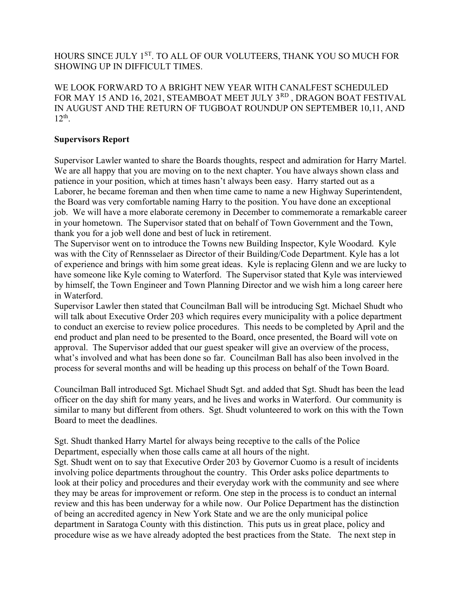# HOURS SINCE JULY 1ST. TO ALL OF OUR VOLUTEERS, THANK YOU SO MUCH FOR SHOWING UP IN DIFFICULT TIMES.

WE LOOK FORWARD TO A BRIGHT NEW YEAR WITH CANALFEST SCHEDULED FOR MAY 15 AND 16, 2021, STEAMBOAT MEET JULY 3RD, DRAGON BOAT FESTIVAL IN AUGUST AND THE RETURN OF TUGBOAT ROUNDUP ON SEPTEMBER 10,11, AND  $12<sup>th</sup>$ .

## Supervisors Report

Supervisor Lawler wanted to share the Boards thoughts, respect and admiration for Harry Martel. We are all happy that you are moving on to the next chapter. You have always shown class and patience in your position, which at times hasn't always been easy. Harry started out as a Laborer, he became foreman and then when time came to name a new Highway Superintendent, the Board was very comfortable naming Harry to the position. You have done an exceptional job. We will have a more elaborate ceremony in December to commemorate a remarkable career in your hometown. The Supervisor stated that on behalf of Town Government and the Town, thank you for a job well done and best of luck in retirement.

The Supervisor went on to introduce the Towns new Building Inspector, Kyle Woodard. Kyle was with the City of Rennsselaer as Director of their Building/Code Department. Kyle has a lot of experience and brings with him some great ideas. Kyle is replacing Glenn and we are lucky to have someone like Kyle coming to Waterford. The Supervisor stated that Kyle was interviewed by himself, the Town Engineer and Town Planning Director and we wish him a long career here in Waterford.

Supervisor Lawler then stated that Councilman Ball will be introducing Sgt. Michael Shudt who will talk about Executive Order 203 which requires every municipality with a police department to conduct an exercise to review police procedures. This needs to be completed by April and the end product and plan need to be presented to the Board, once presented, the Board will vote on approval. The Supervisor added that our guest speaker will give an overview of the process, what's involved and what has been done so far. Councilman Ball has also been involved in the process for several months and will be heading up this process on behalf of the Town Board.

Councilman Ball introduced Sgt. Michael Shudt Sgt. and added that Sgt. Shudt has been the lead officer on the day shift for many years, and he lives and works in Waterford. Our community is similar to many but different from others. Sgt. Shudt volunteered to work on this with the Town Board to meet the deadlines.

Sgt. Shudt thanked Harry Martel for always being receptive to the calls of the Police Department, especially when those calls came at all hours of the night.

Sgt. Shudt went on to say that Executive Order 203 by Governor Cuomo is a result of incidents involving police departments throughout the country. This Order asks police departments to look at their policy and procedures and their everyday work with the community and see where they may be areas for improvement or reform. One step in the process is to conduct an internal review and this has been underway for a while now. Our Police Department has the distinction of being an accredited agency in New York State and we are the only municipal police department in Saratoga County with this distinction. This puts us in great place, policy and procedure wise as we have already adopted the best practices from the State. The next step in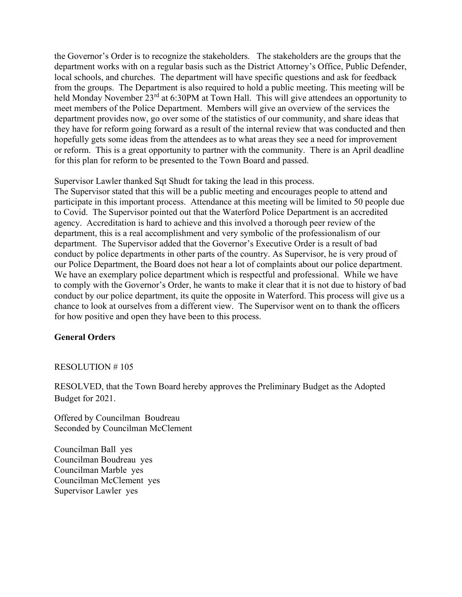the Governor's Order is to recognize the stakeholders. The stakeholders are the groups that the department works with on a regular basis such as the District Attorney's Office, Public Defender, local schools, and churches. The department will have specific questions and ask for feedback from the groups. The Department is also required to hold a public meeting. This meeting will be held Monday November 23<sup>rd</sup> at 6:30PM at Town Hall. This will give attendees an opportunity to meet members of the Police Department. Members will give an overview of the services the department provides now, go over some of the statistics of our community, and share ideas that they have for reform going forward as a result of the internal review that was conducted and then hopefully gets some ideas from the attendees as to what areas they see a need for improvement or reform. This is a great opportunity to partner with the community. There is an April deadline for this plan for reform to be presented to the Town Board and passed.

Supervisor Lawler thanked Sqt Shudt for taking the lead in this process.

The Supervisor stated that this will be a public meeting and encourages people to attend and participate in this important process. Attendance at this meeting will be limited to 50 people due to Covid. The Supervisor pointed out that the Waterford Police Department is an accredited agency. Accreditation is hard to achieve and this involved a thorough peer review of the department, this is a real accomplishment and very symbolic of the professionalism of our department. The Supervisor added that the Governor's Executive Order is a result of bad conduct by police departments in other parts of the country. As Supervisor, he is very proud of our Police Department, the Board does not hear a lot of complaints about our police department. We have an exemplary police department which is respectful and professional. While we have to comply with the Governor's Order, he wants to make it clear that it is not due to history of bad conduct by our police department, its quite the opposite in Waterford. This process will give us a chance to look at ourselves from a different view. The Supervisor went on to thank the officers for how positive and open they have been to this process.

## General Orders

## RESOLUTION # 105

RESOLVED, that the Town Board hereby approves the Preliminary Budget as the Adopted Budget for 2021.

Offered by Councilman Boudreau Seconded by Councilman McClement

Councilman Ball yes Councilman Boudreau yes Councilman Marble yes Councilman McClement yes Supervisor Lawler yes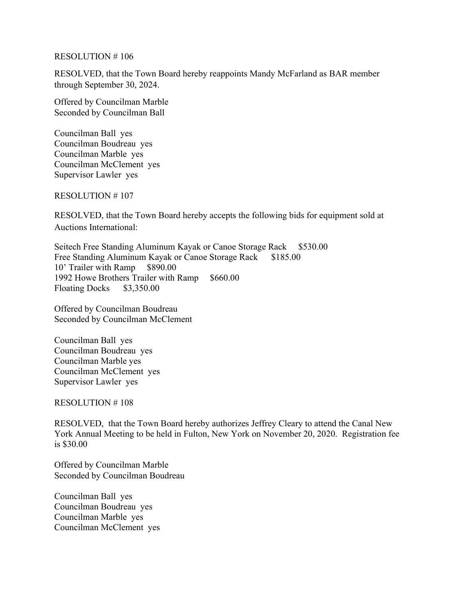#### RESOLUTION # 106

RESOLVED, that the Town Board hereby reappoints Mandy McFarland as BAR member through September 30, 2024.

Offered by Councilman Marble Seconded by Councilman Ball

Councilman Ball yes Councilman Boudreau yes Councilman Marble yes Councilman McClement yes Supervisor Lawler yes

RESOLUTION # 107

RESOLVED, that the Town Board hereby accepts the following bids for equipment sold at Auctions International:

Seitech Free Standing Aluminum Kayak or Canoe Storage Rack \$530.00 Free Standing Aluminum Kayak or Canoe Storage Rack \$185.00 10' Trailer with Ramp \$890.00 1992 Howe Brothers Trailer with Ramp \$660.00 Floating Docks \$3,350.00

Offered by Councilman Boudreau Seconded by Councilman McClement

Councilman Ball yes Councilman Boudreau yes Councilman Marble yes Councilman McClement yes Supervisor Lawler yes

RESOLUTION # 108

RESOLVED, that the Town Board hereby authorizes Jeffrey Cleary to attend the Canal New York Annual Meeting to be held in Fulton, New York on November 20, 2020. Registration fee is \$30.00

Offered by Councilman Marble Seconded by Councilman Boudreau

Councilman Ball yes Councilman Boudreau yes Councilman Marble yes Councilman McClement yes